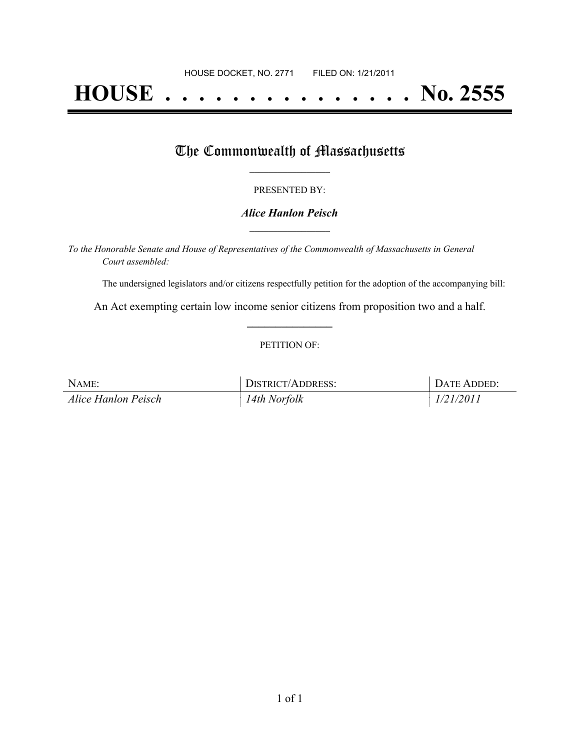# **HOUSE . . . . . . . . . . . . . . . No. 2555**

## The Commonwealth of Massachusetts

#### PRESENTED BY:

#### *Alice Hanlon Peisch* **\_\_\_\_\_\_\_\_\_\_\_\_\_\_\_\_\_**

*To the Honorable Senate and House of Representatives of the Commonwealth of Massachusetts in General Court assembled:*

The undersigned legislators and/or citizens respectfully petition for the adoption of the accompanying bill:

An Act exempting certain low income senior citizens from proposition two and a half. **\_\_\_\_\_\_\_\_\_\_\_\_\_\_\_**

#### PETITION OF:

| NAME:               | DISTRICT/ADDRESS: | DATE ADDED: |
|---------------------|-------------------|-------------|
| Alice Hanlon Peisch | 14th Norfolk      | 1/21/2011   |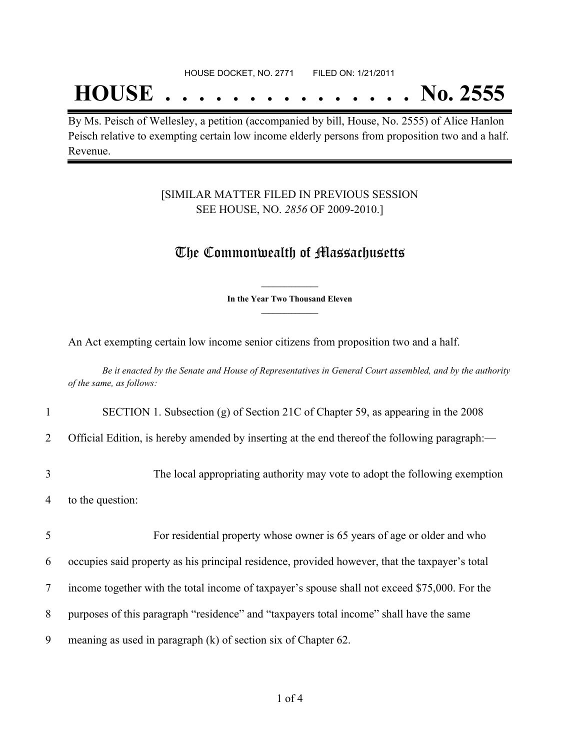## **HOUSE . . . . . . . . . . . . . . . No. 2555**

By Ms. Peisch of Wellesley, a petition (accompanied by bill, House, No. 2555) of Alice Hanlon Peisch relative to exempting certain low income elderly persons from proposition two and a half. Revenue.

#### [SIMILAR MATTER FILED IN PREVIOUS SESSION SEE HOUSE, NO. *2856* OF 2009-2010.]

### The Commonwealth of Massachusetts

**\_\_\_\_\_\_\_\_\_\_\_\_\_\_\_ In the Year Two Thousand Eleven \_\_\_\_\_\_\_\_\_\_\_\_\_\_\_**

An Act exempting certain low income senior citizens from proposition two and a half.

Be it enacted by the Senate and House of Representatives in General Court assembled, and by the authority *of the same, as follows:*

| SECTION 1. Subsection (g) of Section 21C of Chapter 59, as appearing in the 2008 |  |  |  |
|----------------------------------------------------------------------------------|--|--|--|
|                                                                                  |  |  |  |

2 Official Edition, is hereby amended by inserting at the end thereof the following paragraph:—

- 3 The local appropriating authority may vote to adopt the following exemption
- 4 to the question:

 For residential property whose owner is 65 years of age or older and who occupies said property as his principal residence, provided however, that the taxpayer's total income together with the total income of taxpayer's spouse shall not exceed \$75,000. For the purposes of this paragraph "residence" and "taxpayers total income" shall have the same meaning as used in paragraph (k) of section six of Chapter 62.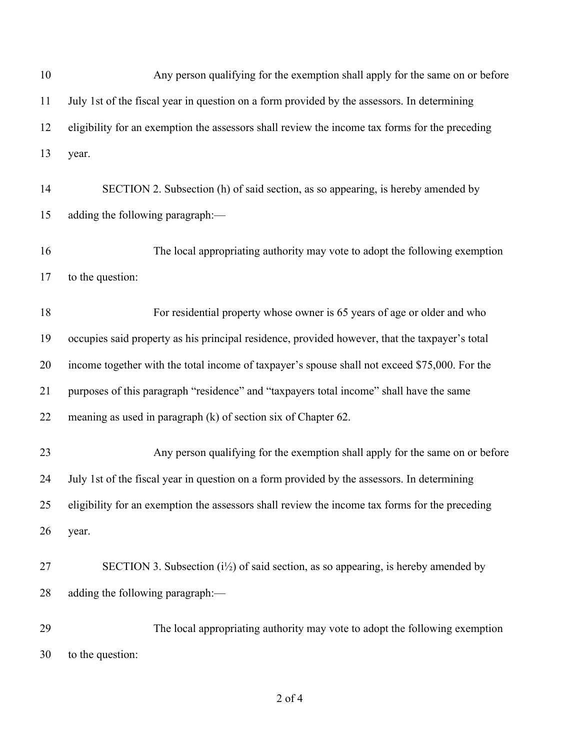| 10 | Any person qualifying for the exemption shall apply for the same on or before                  |
|----|------------------------------------------------------------------------------------------------|
| 11 | July 1st of the fiscal year in question on a form provided by the assessors. In determining    |
| 12 | eligibility for an exemption the assessors shall review the income tax forms for the preceding |
| 13 | year.                                                                                          |
| 14 | SECTION 2. Subsection (h) of said section, as so appearing, is hereby amended by               |
| 15 | adding the following paragraph:-                                                               |
| 16 | The local appropriating authority may vote to adopt the following exemption                    |
| 17 | to the question:                                                                               |
| 18 | For residential property whose owner is 65 years of age or older and who                       |
| 19 | occupies said property as his principal residence, provided however, that the taxpayer's total |
| 20 | income together with the total income of taxpayer's spouse shall not exceed \$75,000. For the  |
| 21 | purposes of this paragraph "residence" and "taxpayers total income" shall have the same        |
| 22 | meaning as used in paragraph (k) of section six of Chapter 62.                                 |
| 23 | Any person qualifying for the exemption shall apply for the same on or before                  |
| 24 | July 1st of the fiscal year in question on a form provided by the assessors. In determining    |
| 25 | eligibility for an exemption the assessors shall review the income tax forms for the preceding |
| 26 | year.                                                                                          |
| 27 | SECTION 3. Subsection $(i\frac{1}{2})$ of said section, as so appearing, is hereby amended by  |
| 28 | adding the following paragraph:-                                                               |
| 29 | The local appropriating authority may vote to adopt the following exemption                    |
| 30 | to the question:                                                                               |

of 4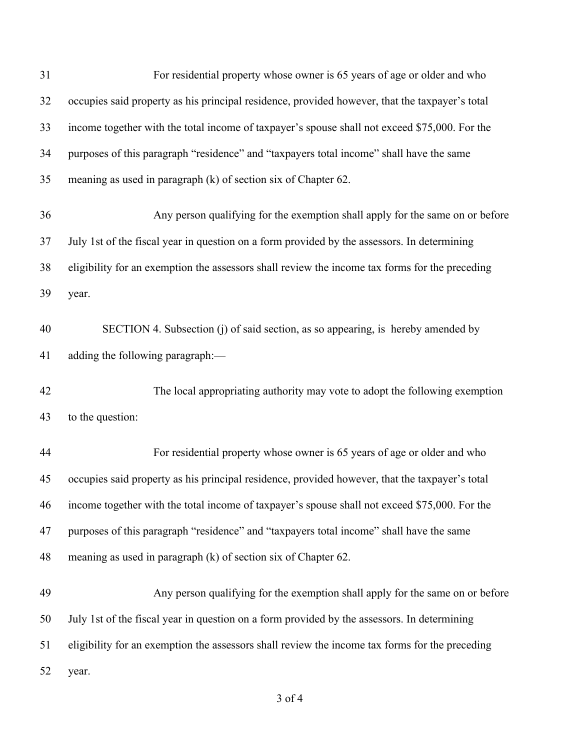| 31 | For residential property whose owner is 65 years of age or older and who                       |
|----|------------------------------------------------------------------------------------------------|
| 32 | occupies said property as his principal residence, provided however, that the taxpayer's total |
| 33 | income together with the total income of taxpayer's spouse shall not exceed \$75,000. For the  |
| 34 | purposes of this paragraph "residence" and "taxpayers total income" shall have the same        |
| 35 | meaning as used in paragraph (k) of section six of Chapter 62.                                 |
| 36 | Any person qualifying for the exemption shall apply for the same on or before                  |
| 37 | July 1st of the fiscal year in question on a form provided by the assessors. In determining    |
| 38 | eligibility for an exemption the assessors shall review the income tax forms for the preceding |
| 39 | year.                                                                                          |
| 40 | SECTION 4. Subsection (j) of said section, as so appearing, is hereby amended by               |
| 41 | adding the following paragraph:-                                                               |
| 42 | The local appropriating authority may vote to adopt the following exemption                    |
| 43 | to the question:                                                                               |
| 44 | For residential property whose owner is 65 years of age or older and who                       |
| 45 | occupies said property as his principal residence, provided however, that the taxpayer's total |
| 46 | income together with the total income of taxpayer's spouse shall not exceed \$75,000. For the  |
| 47 | purposes of this paragraph "residence" and "taxpayers total income" shall have the same        |
| 48 | meaning as used in paragraph $(k)$ of section six of Chapter 62.                               |
| 49 | Any person qualifying for the exemption shall apply for the same on or before                  |
| 50 | July 1st of the fiscal year in question on a form provided by the assessors. In determining    |
| 51 | eligibility for an exemption the assessors shall review the income tax forms for the preceding |
| 52 | year.                                                                                          |